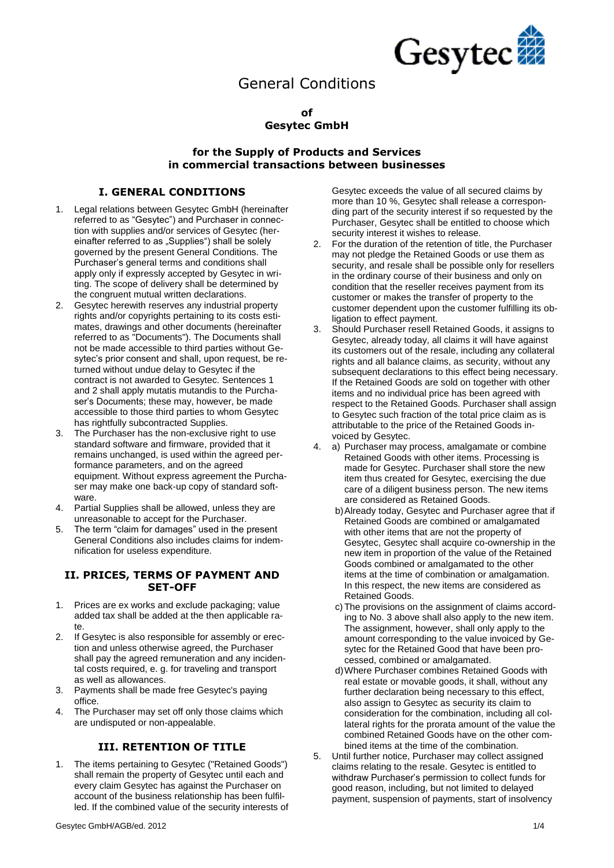

# General Conditions

#### **of Gesytec GmbH**

#### **for the Supply of Products and Services in commercial transactions between businesses**

### **I. GENERAL CONDITIONS**

- 1. Legal relations between Gesytec GmbH (hereinafter referred to as "Gesytec") and Purchaser in connection with supplies and/or services of Gesytec (hereinafter referred to as "Supplies") shall be solely governed by the present General Conditions. The Purchaser's general terms and conditions shall apply only if expressly accepted by Gesytec in writing. The scope of delivery shall be determined by the congruent mutual written declarations.
- 2. Gesytec herewith reserves any industrial property rights and/or copyrights pertaining to its costs estimates, drawings and other documents (hereinafter referred to as "Documents"). The Documents shall not be made accessible to third parties without Gesytec's prior consent and shall, upon request, be returned without undue delay to Gesytec if the contract is not awarded to Gesytec. Sentences 1 and 2 shall apply mutatis mutandis to the Purchaser's Documents; these may, however, be made accessible to those third parties to whom Gesytec has rightfully subcontracted Supplies.
- 3. The Purchaser has the non-exclusive right to use standard software and firmware, provided that it remains unchanged, is used within the agreed performance parameters, and on the agreed equipment. Without express agreement the Purchaser may make one back-up copy of standard software.
- 4. Partial Supplies shall be allowed, unless they are unreasonable to accept for the Purchaser.
- 5. The term "claim for damages" used in the present General Conditions also includes claims for indemnification for useless expenditure.

#### **II. PRICES, TERMS OF PAYMENT AND SET-OFF**

- 1. Prices are ex works and exclude packaging; value added tax shall be added at the then applicable rate.
- 2. If Gesytec is also responsible for assembly or erection and unless otherwise agreed, the Purchaser shall pay the agreed remuneration and any incidental costs required, e. g. for traveling and transport as well as allowances.
- 3. Payments shall be made free Gesytec's paying office.
- 4. The Purchaser may set off only those claims which are undisputed or non-appealable.

#### **III. RETENTION OF TITLE**

1. The items pertaining to Gesytec ("Retained Goods") shall remain the property of Gesytec until each and every claim Gesytec has against the Purchaser on account of the business relationship has been fulfilled. If the combined value of the security interests of Gesytec exceeds the value of all secured claims by more than 10 %, Gesytec shall release a corresponding part of the security interest if so requested by the Purchaser, Gesytec shall be entitled to choose which security interest it wishes to release.

- 2. For the duration of the retention of title, the Purchaser may not pledge the Retained Goods or use them as security, and resale shall be possible only for resellers in the ordinary course of their business and only on condition that the reseller receives payment from its customer or makes the transfer of property to the customer dependent upon the customer fulfilling its obligation to effect payment.
- 3. Should Purchaser resell Retained Goods, it assigns to Gesytec, already today, all claims it will have against its customers out of the resale, including any collateral rights and all balance claims, as security, without any subsequent declarations to this effect being necessary. If the Retained Goods are sold on together with other items and no individual price has been agreed with respect to the Retained Goods. Purchaser shall assign to Gesytec such fraction of the total price claim as is attributable to the price of the Retained Goods invoiced by Gesytec.
- 4. a) Purchaser may process, amalgamate or combine Retained Goods with other items. Processing is made for Gesytec. Purchaser shall store the new item thus created for Gesytec, exercising the due care of a diligent business person. The new items are considered as Retained Goods.
	- b)Already today, Gesytec and Purchaser agree that if Retained Goods are combined or amalgamated with other items that are not the property of Gesytec, Gesytec shall acquire co-ownership in the new item in proportion of the value of the Retained Goods combined or amalgamated to the other items at the time of combination or amalgamation. In this respect, the new items are considered as Retained Goods.
	- c) The provisions on the assignment of claims according to No. 3 above shall also apply to the new item. The assignment, however, shall only apply to the amount corresponding to the value invoiced by Gesytec for the Retained Good that have been processed, combined or amalgamated.
	- d)Where Purchaser combines Retained Goods with real estate or movable goods, it shall, without any further declaration being necessary to this effect, also assign to Gesytec as security its claim to consideration for the combination, including all collateral rights for the prorata amount of the value the combined Retained Goods have on the other combined items at the time of the combination.
- 5. Until further notice, Purchaser may collect assigned claims relating to the resale. Gesytec is entitled to withdraw Purchaser's permission to collect funds for good reason, including, but not limited to delayed payment, suspension of payments, start of insolvency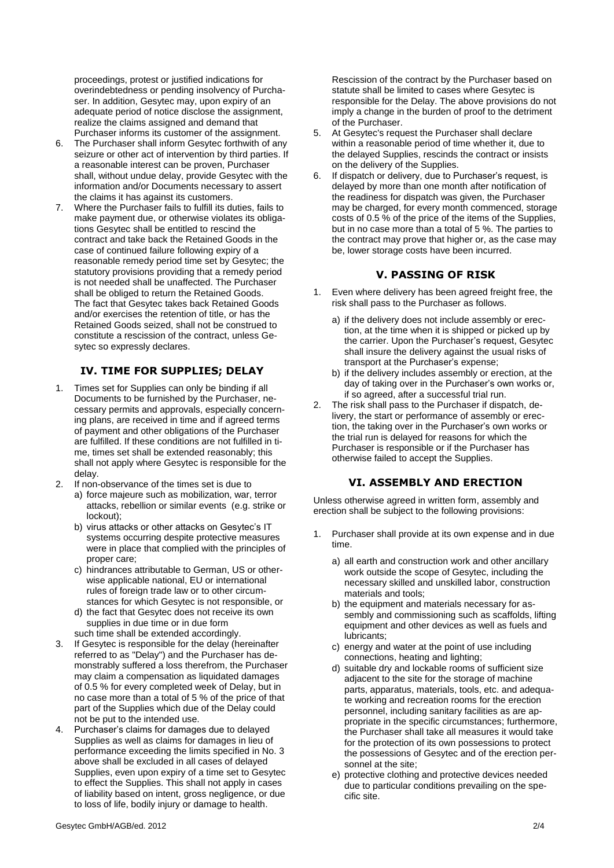proceedings, protest or justified indications for overindebtedness or pending insolvency of Purchaser. In addition, Gesytec may, upon expiry of an adequate period of notice disclose the assignment, realize the claims assigned and demand that Purchaser informs its customer of the assignment.

- 6. The Purchaser shall inform Gesytec forthwith of any seizure or other act of intervention by third parties. If a reasonable interest can be proven, Purchaser shall, without undue delay, provide Gesytec with the information and/or Documents necessary to assert the claims it has against its customers.
- 7. Where the Purchaser fails to fulfill its duties, fails to make payment due, or otherwise violates its obligations Gesytec shall be entitled to rescind the contract and take back the Retained Goods in the case of continued failure following expiry of a reasonable remedy period time set by Gesytec; the statutory provisions providing that a remedy period is not needed shall be unaffected. The Purchaser shall be obliged to return the Retained Goods. The fact that Gesytec takes back Retained Goods and/or exercises the retention of title, or has the Retained Goods seized, shall not be construed to constitute a rescission of the contract, unless Gesytec so expressly declares.

## **IV. TIME FOR SUPPLIES; DELAY**

- 1. Times set for Supplies can only be binding if all Documents to be furnished by the Purchaser, necessary permits and approvals, especially concerning plans, are received in time and if agreed terms of payment and other obligations of the Purchaser are fulfilled. If these conditions are not fulfilled in time, times set shall be extended reasonably; this shall not apply where Gesytec is responsible for the delay.
- 2. If non-observance of the times set is due to
	- a) force majeure such as mobilization, war, terror attacks, rebellion or similar events (e.g. strike or lockout);
	- b) virus attacks or other attacks on Gesytec's IT systems occurring despite protective measures were in place that complied with the principles of proper care;
	- c) hindrances attributable to German, US or otherwise applicable national, EU or international rules of foreign trade law or to other circumstances for which Gesytec is not responsible, or
	- d) the fact that Gesytec does not receive its own supplies in due time or in due form such time shall be extended accordingly.
- 3. If Gesytec is responsible for the delay (hereinafter referred to as "Delay") and the Purchaser has demonstrably suffered a loss therefrom, the Purchaser may claim a compensation as liquidated damages of 0.5 % for every completed week of Delay, but in no case more than a total of 5 % of the price of that part of the Supplies which due of the Delay could not be put to the intended use.
- 4. Purchaser's claims for damages due to delayed Supplies as well as claims for damages in lieu of performance exceeding the limits specified in No. 3 above shall be excluded in all cases of delayed Supplies, even upon expiry of a time set to Gesytec to effect the Supplies. This shall not apply in cases of liability based on intent, gross negligence, or due to loss of life, bodily injury or damage to health.

Rescission of the contract by the Purchaser based on statute shall be limited to cases where Gesytec is responsible for the Delay. The above provisions do not imply a change in the burden of proof to the detriment of the Purchaser.

- 5. At Gesytec's request the Purchaser shall declare within a reasonable period of time whether it, due to the delayed Supplies, rescinds the contract or insists on the delivery of the Supplies.
- 6. If dispatch or delivery, due to Purchaser's request, is delayed by more than one month after notification of the readiness for dispatch was given, the Purchaser may be charged, for every month commenced, storage costs of 0.5 % of the price of the items of the Supplies, but in no case more than a total of 5 %. The parties to the contract may prove that higher or, as the case may be, lower storage costs have been incurred.

#### **V. PASSING OF RISK**

- 1. Even where delivery has been agreed freight free, the risk shall pass to the Purchaser as follows.
	- a) if the delivery does not include assembly or erection, at the time when it is shipped or picked up by the carrier. Upon the Purchaser's request, Gesytec shall insure the delivery against the usual risks of transport at the Purchaser's expense;
	- b) if the delivery includes assembly or erection, at the day of taking over in the Purchaser's own works or, if so agreed, after a successful trial run.
- 2. The risk shall pass to the Purchaser if dispatch, delivery, the start or performance of assembly or erection, the taking over in the Purchaser's own works or the trial run is delayed for reasons for which the Purchaser is responsible or if the Purchaser has otherwise failed to accept the Supplies.

#### **VI. ASSEMBLY AND ERECTION**

Unless otherwise agreed in written form, assembly and erection shall be subject to the following provisions:

- 1. Purchaser shall provide at its own expense and in due time.
	- a) all earth and construction work and other ancillary work outside the scope of Gesytec, including the necessary skilled and unskilled labor, construction materials and tools;
	- b) the equipment and materials necessary for assembly and commissioning such as scaffolds, lifting equipment and other devices as well as fuels and lubricants;
	- c) energy and water at the point of use including connections, heating and lighting;
	- d) suitable dry and lockable rooms of sufficient size adjacent to the site for the storage of machine parts, apparatus, materials, tools, etc. and adequate working and recreation rooms for the erection personnel, including sanitary facilities as are appropriate in the specific circumstances; furthermore, the Purchaser shall take all measures it would take for the protection of its own possessions to protect the possessions of Gesytec and of the erection personnel at the site;
	- e) protective clothing and protective devices needed due to particular conditions prevailing on the specific site.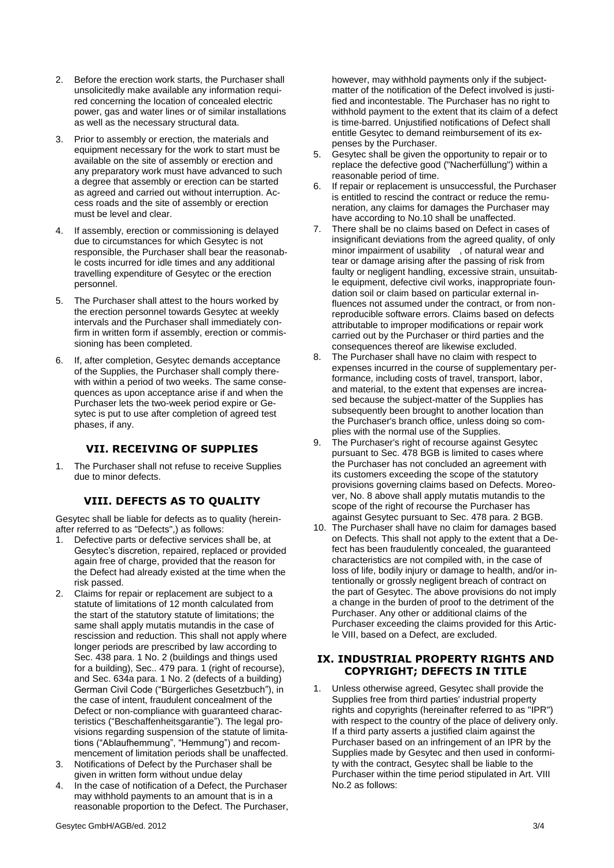- 2. Before the erection work starts, the Purchaser shall unsolicitedly make available any information required concerning the location of concealed electric power, gas and water lines or of similar installations as well as the necessary structural data.
- 3. Prior to assembly or erection, the materials and equipment necessary for the work to start must be available on the site of assembly or erection and any preparatory work must have advanced to such a degree that assembly or erection can be started as agreed and carried out without interruption. Access roads and the site of assembly or erection must be level and clear.
- 4. If assembly, erection or commissioning is delayed due to circumstances for which Gesytec is not responsible, the Purchaser shall bear the reasonable costs incurred for idle times and any additional travelling expenditure of Gesytec or the erection personnel.
- 5. The Purchaser shall attest to the hours worked by the erection personnel towards Gesytec at weekly intervals and the Purchaser shall immediately confirm in written form if assembly, erection or commissioning has been completed.
- 6. If, after completion, Gesytec demands acceptance of the Supplies, the Purchaser shall comply therewith within a period of two weeks. The same consequences as upon acceptance arise if and when the Purchaser lets the two-week period expire or Gesytec is put to use after completion of agreed test phases, if any.

#### **VII. RECEIVING OF SUPPLIES**

1. The Purchaser shall not refuse to receive Supplies due to minor defects.

#### **VIII. DEFECTS AS TO QUALITY**

Gesytec shall be liable for defects as to quality (hereinafter referred to as "Defects",) as follows:

- 1. Defective parts or defective services shall be, at Gesytec's discretion, repaired, replaced or provided again free of charge, provided that the reason for the Defect had already existed at the time when the risk passed.
- 2. Claims for repair or replacement are subject to a statute of limitations of 12 month calculated from the start of the statutory statute of limitations; the same shall apply mutatis mutandis in the case of rescission and reduction. This shall not apply where longer periods are prescribed by law according to Sec. 438 para. 1 No. 2 (buildings and things used for a building), Sec.. 479 para. 1 (right of recourse), and Sec. 634a para. 1 No. 2 (defects of a building) German Civil Code ("Bürgerliches Gesetzbuch"), in the case of intent, fraudulent concealment of the Defect or non-compliance with guaranteed characteristics ("Beschaffenheitsgarantie"). The legal provisions regarding suspension of the statute of limitations ("Ablaufhemmung", "Hemmung") and recommencement of limitation periods shall be unaffected.
- 3. Notifications of Defect by the Purchaser shall be given in written form without undue delay
- 4. In the case of notification of a Defect, the Purchaser may withhold payments to an amount that is in a reasonable proportion to the Defect. The Purchaser,

however, may withhold payments only if the subjectmatter of the notification of the Defect involved is justified and incontestable. The Purchaser has no right to withhold payment to the extent that its claim of a defect is time-barred. Uniustified notifications of Defect shall entitle Gesytec to demand reimbursement of its expenses by the Purchaser.

- 5. Gesytec shall be given the opportunity to repair or to replace the defective good ("Nacherfüllung") within a reasonable period of time.
- 6. If repair or replacement is unsuccessful, the Purchaser is entitled to rescind the contract or reduce the remuneration, any claims for damages the Purchaser may have according to No.10 shall be unaffected.
- 7. There shall be no claims based on Defect in cases of insignificant deviations from the agreed quality, of only minor impairment of usability , of natural wear and tear or damage arising after the passing of risk from faulty or negligent handling, excessive strain, unsuitable equipment, defective civil works, inappropriate foundation soil or claim based on particular external influences not assumed under the contract, or from nonreproducible software errors. Claims based on defects attributable to improper modifications or repair work carried out by the Purchaser or third parties and the consequences thereof are likewise excluded.
- 8. The Purchaser shall have no claim with respect to expenses incurred in the course of supplementary performance, including costs of travel, transport, labor, and material, to the extent that expenses are increased because the subject-matter of the Supplies has subsequently been brought to another location than the Purchaser's branch office, unless doing so complies with the normal use of the Supplies.
- 9. The Purchaser's right of recourse against Gesytec pursuant to Sec. 478 BGB is limited to cases where the Purchaser has not concluded an agreement with its customers exceeding the scope of the statutory provisions governing claims based on Defects. Moreover, No. 8 above shall apply mutatis mutandis to the scope of the right of recourse the Purchaser has against Gesytec pursuant to Sec. 478 para. 2 BGB.
- 10. The Purchaser shall have no claim for damages based on Defects. This shall not apply to the extent that a Defect has been fraudulently concealed, the guaranteed characteristics are not compiled with, in the case of loss of life, bodily injury or damage to health, and/or intentionally or grossly negligent breach of contract on the part of Gesytec. The above provisions do not imply a change in the burden of proof to the detriment of the Purchaser. Any other or additional claims of the Purchaser exceeding the claims provided for this Article VIII, based on a Defect, are excluded.

#### **IX. INDUSTRIAL PROPERTY RIGHTS AND COPYRIGHT; DEFECTS IN TITLE**

1. Unless otherwise agreed, Gesytec shall provide the Supplies free from third parties' industrial property rights and copyrights (hereinafter referred to as "IPR") with respect to the country of the place of delivery only. If a third party asserts a justified claim against the Purchaser based on an infringement of an IPR by the Supplies made by Gesytec and then used in conformity with the contract, Gesytec shall be liable to the Purchaser within the time period stipulated in Art. VIII No.2 as follows: